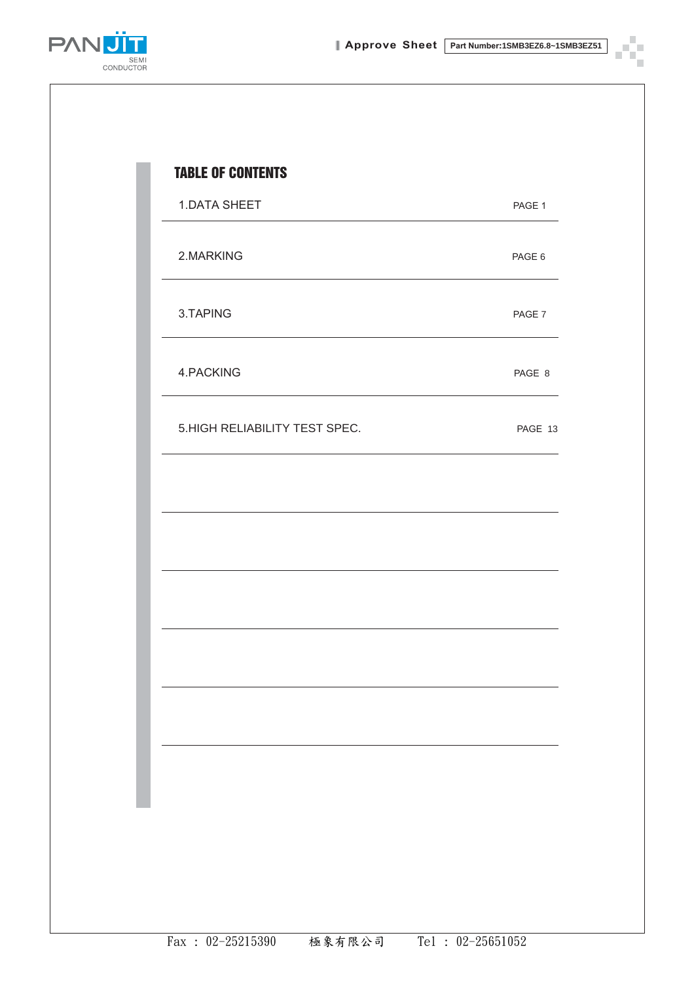ę,  $\mathcal{L}_{\mathcal{A}}$  $\overline{\phantom{a}}$ 

 $\blacksquare$ 



| 1.DATA SHEET                  | PAGE 1  |
|-------------------------------|---------|
| 2.MARKING                     | PAGE 6  |
| 3.TAPING                      | PAGE 7  |
| 4.PACKING                     | PAGE 8  |
| 5.HIGH RELIABILITY TEST SPEC. | PAGE 13 |
|                               |         |
|                               |         |
|                               |         |
|                               |         |
|                               |         |
|                               |         |
|                               |         |
|                               |         |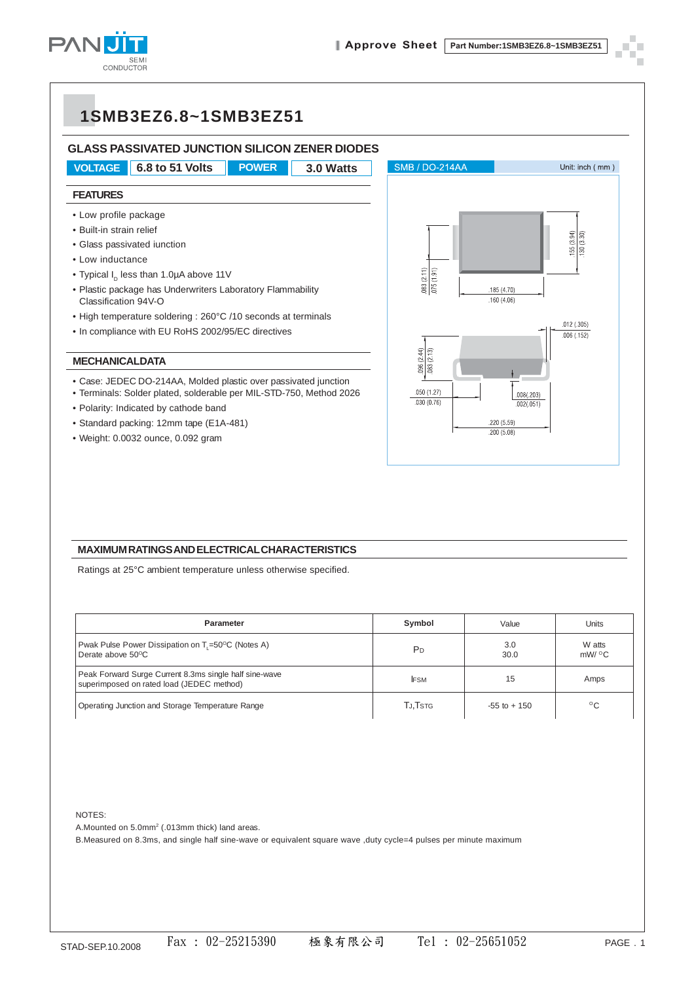

#### **GLASS PASSIVATED JUNCTION SILICON ZENER DIODES**



- Built-in strain relief
- Glass passivated iunction
- Low inductance
- Typical  $I_p$  less than 1.0µA above 11V
- Plastic package has Underwriters Laboratory Flammability Classification 94V-O
- High temperature soldering : 260°C /10 seconds at terminals
- In compliance with EU RoHS 2002/95/EC directives

#### **MECHANICALDATA**

- Case: JEDEC DO-214AA, Molded plastic over passivated junction
- Terminals: Solder plated, solderable per MIL-STD-750, Method 2026
- Polarity: Indicated by cathode band
- Standard packing: 12mm tape (E1A-481)
- Weight: 0.0032 ounce, 0.092 gram



#### **MAXIMUM RATINGS AND ELECTRICAL CHARACTERISTICS**

Ratings at 25°C ambient temperature unless otherwise specified.

| <b>Parameter</b>                                                                                    | Symbol         | Value           | Units           |
|-----------------------------------------------------------------------------------------------------|----------------|-----------------|-----------------|
| Pwak Pulse Power Dissipation on T <sub>1</sub> =50°C (Notes A)<br>Derate above 50 <sup>o</sup> C    | P <sub>D</sub> | 3.0<br>30.0     | W atts<br>mW/°C |
| Peak Forward Surge Current 8.3ms single half sine-wave<br>superimposed on rated load (JEDEC method) | <b>IFSM</b>    | 15              | Amps            |
| Operating Junction and Storage Temperature Range                                                    | TJ,Tstg        | $-55$ to $+150$ | °C              |

NOTES:

A. Mounted on 5.0mm<sup>2</sup> (.013mm thick) land areas.

B.Measured on 8.3ms, and single half sine-wave or equivalent square wave ,duty cycle=4 pulses per minute maximum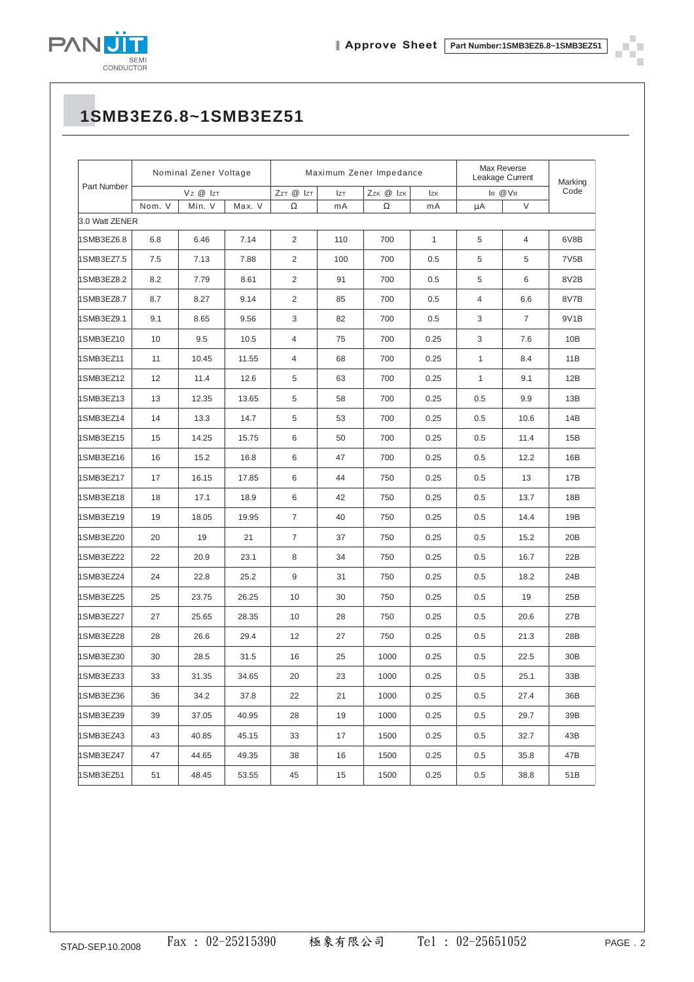

П ÷

## **1SMB3EZ6.8~1SMB3EZ51**

|                | Nominal Zener Voltage |        |                                     | Maximum Zener Impedance |            |          |              | Max Reverse<br>Leakage Current |                | Marking           |
|----------------|-----------------------|--------|-------------------------------------|-------------------------|------------|----------|--------------|--------------------------------|----------------|-------------------|
| Part Number    | Vz @ IzT              |        | ZzT @ IzT<br>Zzk @ Izk<br><b>Iz</b> |                         | <b>Izk</b> | IR @VR   |              | Code                           |                |                   |
|                | Nom. V                | Min. V | Max. V                              | $\Omega$                | mA         | $\Omega$ | mA           | μA                             | $\vee$         |                   |
| 3.0 Watt ZENER |                       |        |                                     |                         |            |          |              |                                |                |                   |
| 1SMB3EZ6.8     | 6.8                   | 6.46   | 7.14                                | 2                       | 110        | 700      | $\mathbf{1}$ | 5                              | $\overline{4}$ | 6V8B              |
| 1SMB3EZ7.5     | 7.5                   | 7.13   | 7.88                                | $\overline{2}$          | 100        | 700      | 0.5          | 5                              | 5              | 7V <sub>5</sub> B |
| 1SMB3EZ8.2     | 8.2                   | 7.79   | 8.61                                | $\overline{2}$          | 91         | 700      | 0.5          | 5                              | 6              | 8V2B              |
| 1SMB3EZ8.7     | 8.7                   | 8.27   | 9.14                                | $\overline{2}$          | 85         | 700      | 0.5          | 4                              | 6.6            | 8V7B              |
| 1SMB3EZ9.1     | 9.1                   | 8.65   | 9.56                                | 3                       | 82         | 700      | 0.5          | 3                              | $\overline{7}$ | 9V1B              |
| 1SMB3EZ10      | 10                    | 9.5    | 10.5                                | 4                       | 75         | 700      | 0.25         | 3                              | 7.6            | 10B               |
| 1SMB3EZ11      | 11                    | 10.45  | 11.55                               | 4                       | 68         | 700      | 0.25         | $\mathbf{1}$                   | 8.4            | 11B               |
| 1SMB3EZ12      | 12                    | 11.4   | 12.6                                | 5                       | 63         | 700      | 0.25         | $\mathbf{1}$                   | 9.1            | 12B               |
| 1SMB3EZ13      | 13                    | 12.35  | 13.65                               | 5                       | 58         | 700      | 0.25         | 0.5                            | 9.9            | 13B               |
| 1SMB3EZ14      | 14                    | 13.3   | 14.7                                | 5                       | 53         | 700      | 0.25         | 0.5                            | 10.6           | 14B               |
| 1SMB3EZ15      | 15                    | 14.25  | 15.75                               | 6                       | 50         | 700      | 0.25         | 0.5                            | 11.4           | 15B               |
| 1SMB3EZ16      | 16                    | 15.2   | 16.8                                | 6                       | 47         | 700      | 0.25         | 0.5                            | 12.2           | 16B               |
| 1SMB3EZ17      | 17                    | 16.15  | 17.85                               | 6                       | 44         | 750      | 0.25         | 0.5                            | 13             | 17B               |
| 1SMB3EZ18      | 18                    | 17.1   | 18.9                                | 6                       | 42         | 750      | 0.25         | 0.5                            | 13.7           | 18B               |
| 1SMB3EZ19      | 19                    | 18.05  | 19.95                               | $\overline{7}$          | 40         | 750      | 0.25         | 0.5                            | 14.4           | 19B               |
| 1SMB3EZ20      | 20                    | 19     | 21                                  | $\overline{7}$          | 37         | 750      | 0.25         | 0.5                            | 15.2           | 20B               |
| 1SMB3EZ22      | 22                    | 20.9   | 23.1                                | 8                       | 34         | 750      | 0.25         | 0.5                            | 16.7           | 22B               |
| 1SMB3EZ24      | 24                    | 22.8   | 25.2                                | 9                       | 31         | 750      | 0.25         | 0.5                            | 18.2           | 24B               |
| 1SMB3EZ25      | 25                    | 23.75  | 26.25                               | 10                      | 30         | 750      | 0.25         | 0.5                            | 19             | 25B               |
| 1SMB3EZ27      | 27                    | 25.65  | 28.35                               | 10                      | 28         | 750      | 0.25         | 0.5                            | 20.6           | 27B               |
| 1SMB3EZ28      | 28                    | 26.6   | 29.4                                | 12                      | 27         | 750      | 0.25         | 0.5                            | 21.3           | 28B               |
| 1SMB3EZ30      | 30                    | 28.5   | 31.5                                | 16                      | 25         | 1000     | 0.25         | 0.5                            | 22.5           | 30B               |
| 1SMB3EZ33      | 33                    | 31.35  | 34.65                               | 20                      | 23         | 1000     | 0.25         | 0.5                            | 25.1           | 33B               |
| 1SMB3EZ36      | 36                    | 34.2   | 37.8                                | 22                      | 21         | 1000     | 0.25         | 0.5                            | 27.4           | 36B               |
| 1SMB3EZ39      | 39                    | 37.05  | 40.95                               | 28                      | 19         | 1000     | 0.25         | 0.5                            | 29.7           | 39B               |
| 1SMB3EZ43      | 43                    | 40.85  | 45.15                               | 33                      | 17         | 1500     | 0.25         | 0.5                            | 32.7           | 43B               |
| 1SMB3EZ47      | 47                    | 44.65  | 49.35                               | 38                      | 16         | 1500     | 0.25         | 0.5                            | 35.8           | 47B               |
| 1SMB3EZ51      | 51                    | 48.45  | 53.55                               | 45                      | 15         | 1500     | 0.25         | 0.5                            | 38.8           | 51B               |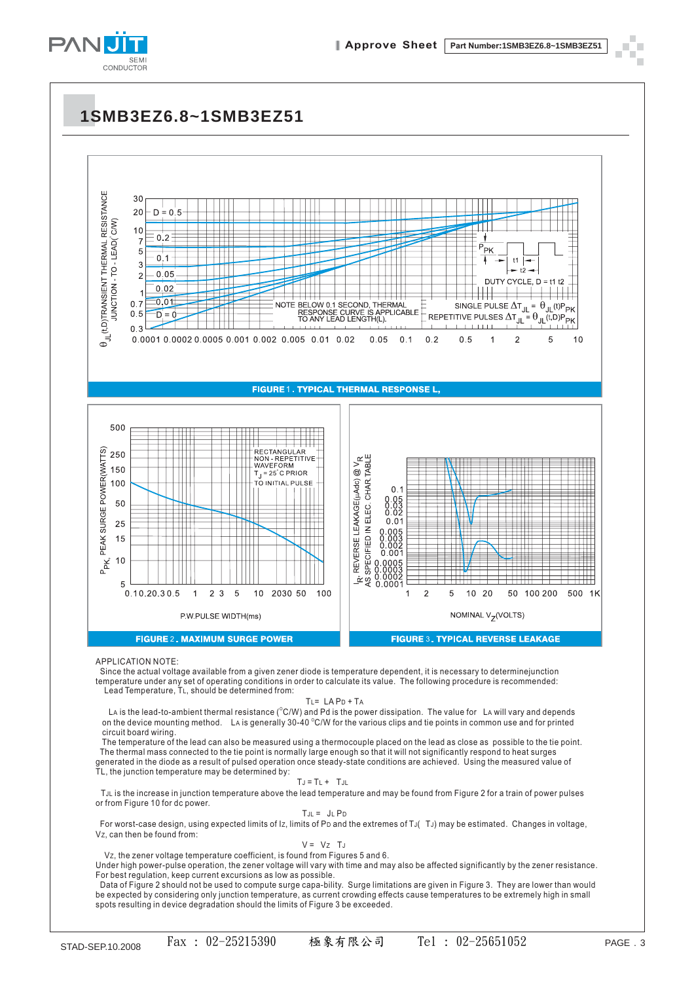



Lead Temperature, TL, should be determined from:

TL= LA PD + TA

La is the lead-to-ambient thermal resistance ( $^{\circ}$ C/W) and Pd is the power dissipation. The value for La will vary and depends on the device mounting method.  $\:$  La is generally 30-40  $^\circ$ C/W for the various clips and tie points in common use and for printed circuit board wiring.

The temperature of the lead can also be measured using a thermocouple placed on the lead as close as possible to the tie point. The thermal mass connected to the tie point is normally large enough so that it will not significantly respond to heat surges generated in the diode as a result of pulsed operation once steady-state conditions are achieved. Using the measured value of TL, the junction temperature may be determined by:

$$
T_J = T_L + T_{JL}
$$

I J = IL + IJL<br>TJL is the increase in junction temperature above the lead temperature and may be found from Figure 2 for a train of power pulses or from Figure 10 for dc power. JL

$$
T_{JL} = J_L P_D
$$

For worst-case design, using expected limits of Iz, limits of Po and the extremes of TJ(  $\,$  TJ) may be estimated.  $\,$  Changes in voltage, Vz, can then be found from:

$$
V = Vz TJ
$$

Vz, the zener voltage temperature coefficient, is found from Figures 5 and 6. vz, the zener voltage temperature coefficient, is found from Figures 5 and 6.<br>Under high power-pulse operation, the zener voltage will vary with time and may also be affected significantly by the zener resistance. For best regulation, keep current excursions as low as possible.

Data of Figure 2 should not be used to compute surge capa-bility. Surge limitations are given in Figure 3. They are lower than would be expected by considering only junction temperature, as current crowding effects cause temperatures to be extremely high in small spots resulting in device degradation should the limits of Figure 3 be exceeded.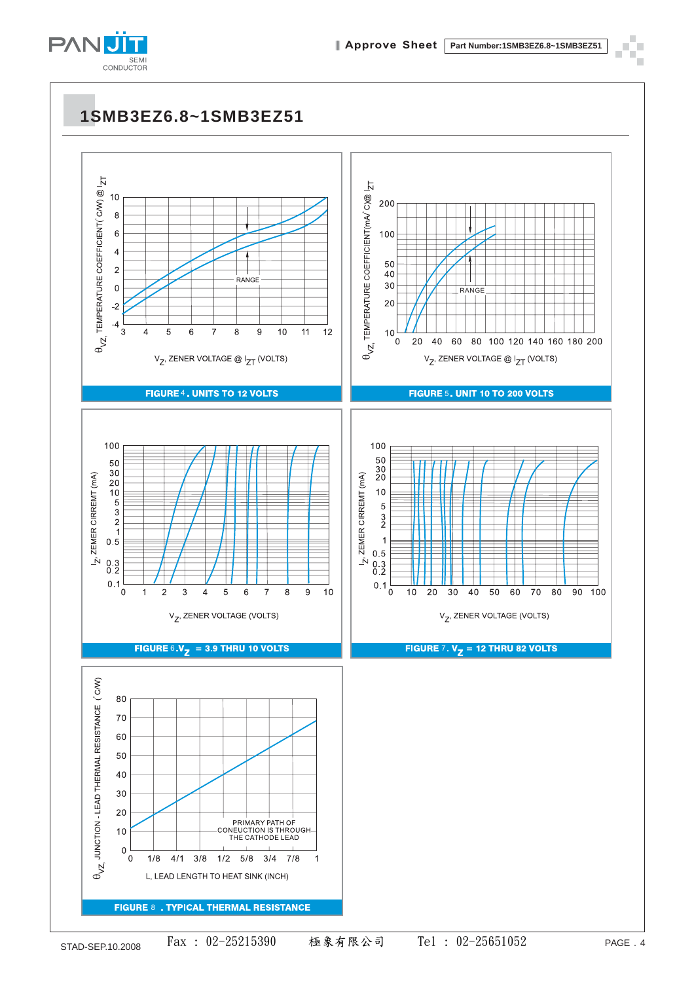

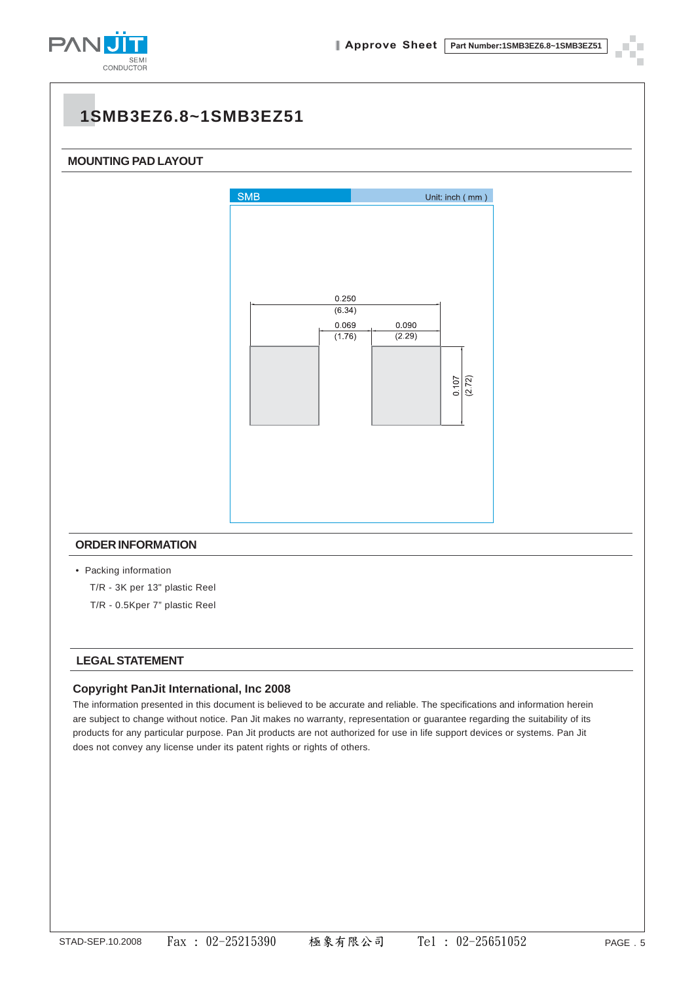

# **MOUNTING PAD LAYOUT SMB** Unit: inch (mm) 0.250  $(6.34)$ 0.069  $0.090$  $(1.76)$  $(2.29)$ 0.107  $\sqrt{(2.72)}$ **ORDER INFORMATION** • Packing information T/R - 3K per 13" plastic Reel T/R - 0.5Kper 7" plastic Reel

#### **LEGAL STATEMENT**

#### **Copyright PanJit International, Inc 2008**

The information presented in this document is believed to be accurate and reliable. The specifications and information herein are subject to change without notice. Pan Jit makes no warranty, representation or guarantee regarding the suitability of its products for any particular purpose. Pan Jit products are not authorized for use in life support devices or systems. Pan Jit does not convey any license under its patent rights or rights of others.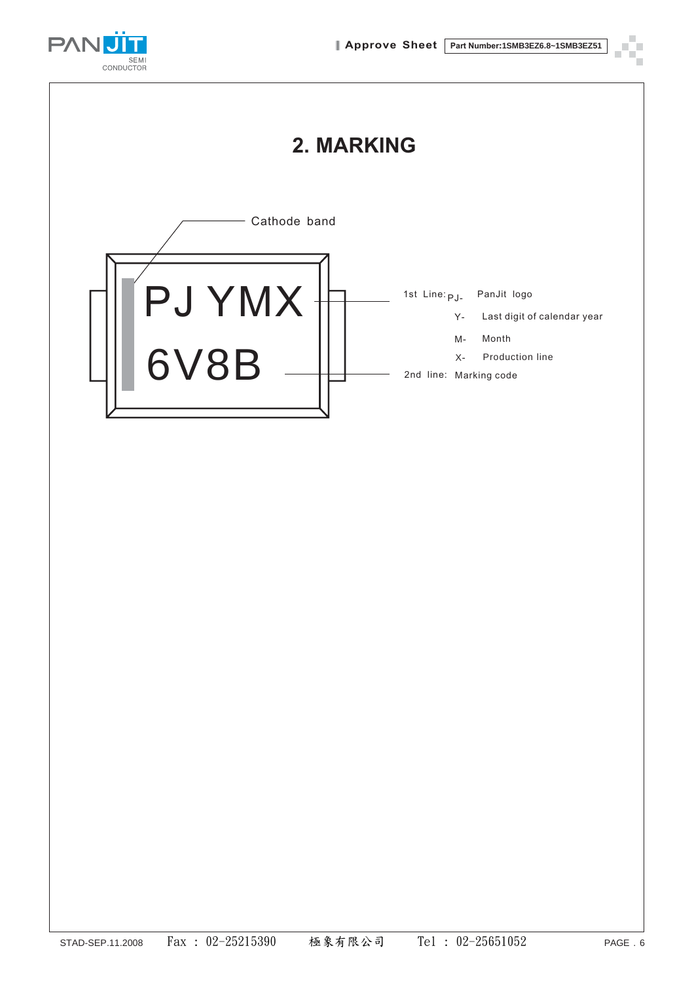

## **2. MARKING**

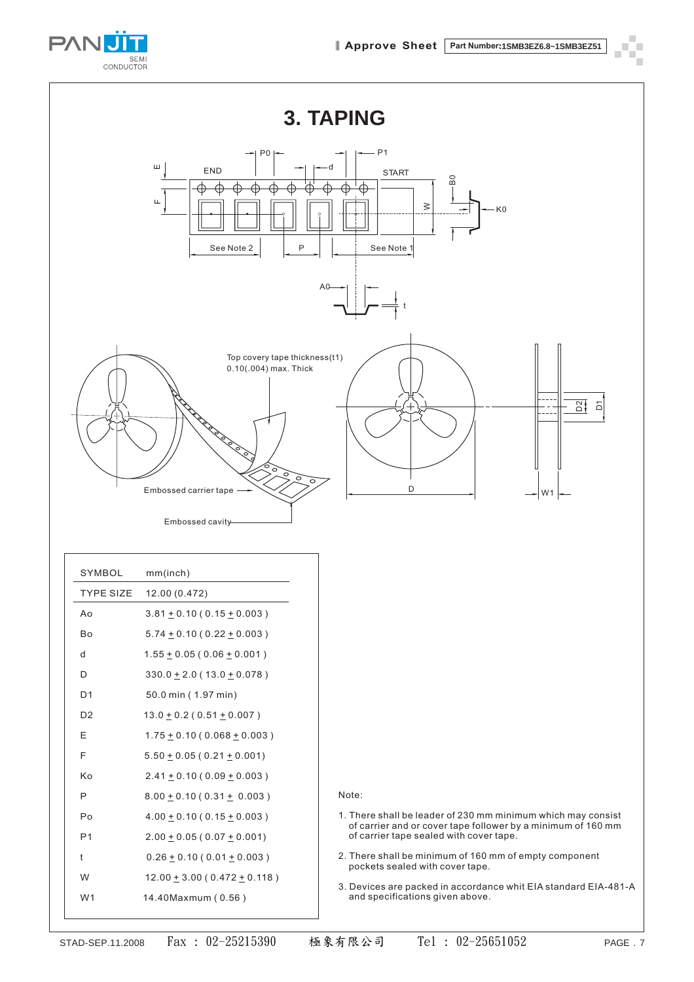





| SYMBOL           | mm(inch)                            |                                                                                                                              |
|------------------|-------------------------------------|------------------------------------------------------------------------------------------------------------------------------|
| <b>TYPE SIZE</b> | 12.00 (0.472)                       |                                                                                                                              |
| Ao               | $3.81 + 0.10(0.15 + 0.003)$         |                                                                                                                              |
| Bo               | $5.74 + 0.10 (0.22 + 0.003)$        |                                                                                                                              |
| d                | $1.55 \pm 0.05 (0.06 \pm 0.001)$    |                                                                                                                              |
| D                | $330.0 + 2.0 (13.0 + 0.078)$        |                                                                                                                              |
| D <sub>1</sub>   | 50.0 min (1.97 min)                 |                                                                                                                              |
| D <sub>2</sub>   | $13.0 + 0.2 (0.51 + 0.007)$         |                                                                                                                              |
| E                | $1.75 \pm 0.10$ (0.068 $\pm$ 0.003) |                                                                                                                              |
| F                | $5.50 \pm 0.05$ (0.21 $\pm$ 0.001)  |                                                                                                                              |
| Кo               | $2.41 + 0.10(0.09 + 0.003)$         |                                                                                                                              |
| P                | $8.00 + 0.10(0.31 + 0.003)$         | Note:                                                                                                                        |
| Po               | $4.00 \pm 0.10$ (0.15 $\pm$ 0.003)  | 1. There shall be leader of 230 mm minimum which may consist<br>of carrier and or cover tape follower by a minimum of 160 mm |
| P <sub>1</sub>   | $2.00 \pm 0.05$ (0.07 $\pm$ 0.001)  | of carrier tape sealed with cover tape.                                                                                      |
| t                | $0.26 \pm 0.10$ (0.01 $\pm$ 0.003)  | 2. There shall be minimum of 160 mm of empty component<br>pockets sealed with cover tape.                                    |
| W                | $12.00 + 3.00 (0.472 + 0.118)$      | 3. Devices are packed in accordance whit EIA standard EIA-481-A                                                              |
| W <sub>1</sub>   | 14.40Maxmum (0.56)                  | and specifications given above.                                                                                              |
|                  |                                     |                                                                                                                              |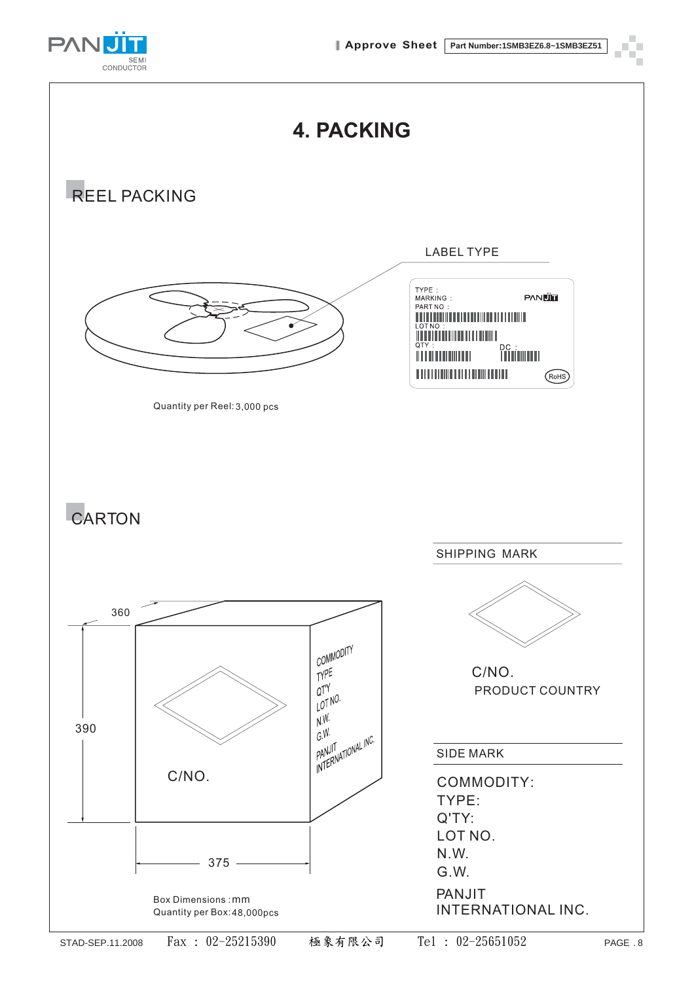

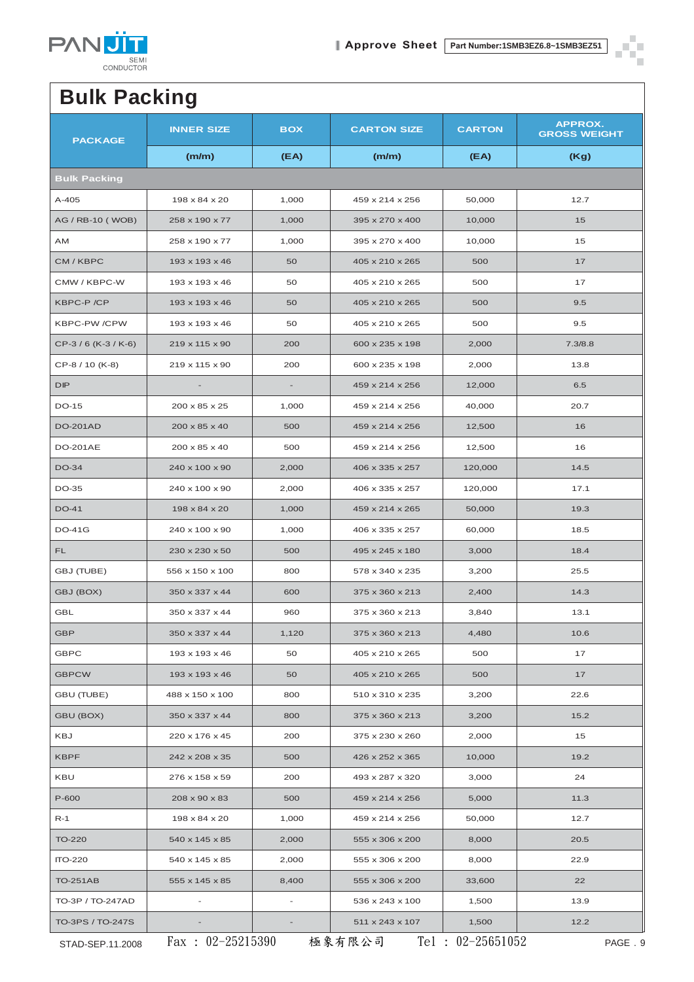

× r

÷.

## **Bulk Packing**

| <b>PACKAGE</b>      | <b>INNER SIZE</b>          | <b>BOX</b>               | <b>CARTON SIZE</b> | <b>CARTON</b> | APPROX.<br><b>GROSS WEIGHT</b> |  |  |
|---------------------|----------------------------|--------------------------|--------------------|---------------|--------------------------------|--|--|
|                     | (m/m)                      | (EA)                     | (m/m)              | (EA)          | (Kg)                           |  |  |
| <b>Bulk Packing</b> |                            |                          |                    |               |                                |  |  |
| A-405               | 198 x 84 x 20              | 1,000                    | 459 x 214 x 256    | 50,000        | 12.7                           |  |  |
| AG / RB-10 (WOB)    | 258 x 190 x 77             | 1,000                    | 395 x 270 x 400    | 10,000        | 15                             |  |  |
| AM                  | 258 x 190 x 77             | 1,000                    | 395 x 270 x 400    | 10,000        | 15                             |  |  |
| CM / KBPC           | 193 x 193 x 46             | 50                       | 405 x 210 x 265    | 500           | 17                             |  |  |
| CMW / KBPC-W        | 193 x 193 x 46             | 50                       | 405 x 210 x 265    | 500           | 17                             |  |  |
| KBPC-P /CP          | 193 x 193 x 46             | 50                       | 405 x 210 x 265    | 500           | 9.5                            |  |  |
| <b>KBPC-PW/CPW</b>  | 193 x 193 x 46             | 50                       | 405 x 210 x 265    | 500           | 9.5                            |  |  |
| CP-3/6 (K-3/K-6)    | $219 \times 115 \times 90$ | 200                      | 600 x 235 x 198    | 2,000         | 7.3/8.8                        |  |  |
| CP-8 / 10 (K-8)     | 219 x 115 x 90             | 200                      | 600 x 235 x 198    | 2,000         | 13.8                           |  |  |
| <b>DIP</b>          |                            |                          | 459 x 214 x 256    | 12,000        | 6.5                            |  |  |
| DO-15               | 200 x 85 x 25              | 1,000                    | 459 x 214 x 256    | 40,000        | 20.7                           |  |  |
| <b>DO-201AD</b>     | 200 x 85 x 40              | 500                      | 459 x 214 x 256    | 12,500        | 16                             |  |  |
| <b>DO-201AE</b>     | 200 x 85 x 40              | 500                      | 459 x 214 x 256    | 12,500        | 16                             |  |  |
| <b>DO-34</b>        | 240 x 100 x 90             | 2,000                    | 406 x 335 x 257    | 120,000       | 14.5                           |  |  |
| DO-35               | 240 x 100 x 90             | 2,000                    | 406 x 335 x 257    | 120,000       | 17.1                           |  |  |
| <b>DO-41</b>        | 198 x 84 x 20              | 1,000                    | 459 x 214 x 265    | 50,000        | 19.3                           |  |  |
| <b>DO-41G</b>       | 240 x 100 x 90             | 1,000                    | 406 x 335 x 257    | 60,000        | 18.5                           |  |  |
| FL                  | 230 x 230 x 50             | 500                      | 495 x 245 x 180    | 3,000         | 18.4                           |  |  |
| GBJ (TUBE)          | 556 x 150 x 100            | 800                      | 578 x 340 x 235    | 3,200         | 25.5                           |  |  |
| GBJ (BOX)           | 350 x 337 x 44             | 600                      | 375 x 360 x 213    | 2,400         | 14.3                           |  |  |
| <b>GBL</b>          | 350 x 337 x 44             | 960                      | 375 x 360 x 213    | 3,840         | 13.1                           |  |  |
| GBP                 | 350 x 337 x 44             | 1,120                    | 375 x 360 x 213    | 4,480         | 10.6                           |  |  |
| <b>GBPC</b>         | 193 x 193 x 46             | 50                       | 405 x 210 x 265    | 500           | 17                             |  |  |
| <b>GBPCW</b>        | 193 x 193 x 46             | 50                       | 405 x 210 x 265    | 500           | 17                             |  |  |
| <b>GBU (TUBE)</b>   | 488 x 150 x 100            | 800                      | 510 x 310 x 235    | 3,200         | 22.6                           |  |  |
| GBU (BOX)           | 350 x 337 x 44             | 800                      | 375 x 360 x 213    | 3,200         | 15.2                           |  |  |
| KBJ                 | 220 x 176 x 45             | 200                      | 375 x 230 x 260    | 2,000         | 15                             |  |  |
| <b>KBPF</b>         | 242 x 208 x 35             | 500                      | 426 x 252 x 365    | 10,000        | 19.2                           |  |  |
| KBU                 | 276 x 158 x 59             | 200                      | 493 x 287 x 320    | 3,000         | 24                             |  |  |
| P-600               | 208 x 90 x 83              | 500                      | 459 x 214 x 256    | 5,000         | 11.3                           |  |  |
| $R-1$               | 198 x 84 x 20              | 1,000                    | 459 x 214 x 256    | 50,000        | 12.7                           |  |  |
| <b>TO-220</b>       | 540 x 145 x 85             | 2,000                    | 555 x 306 x 200    | 8,000         | 20.5                           |  |  |
| <b>ITO-220</b>      | 540 x 145 x 85             | 2,000                    | 555 x 306 x 200    | 8,000         | 22.9                           |  |  |
| <b>TO-251AB</b>     | 555 x 145 x 85             | 8,400                    | 555 x 306 x 200    | 33,600        | 22                             |  |  |
| TO-3P / TO-247AD    | $\overline{a}$             | $\overline{\phantom{a}}$ | 536 x 243 x 100    | 1,500         | 13.9                           |  |  |
| TO-3PS / TO-247S    |                            |                          | 511 x 243 x 107    | 1,500         | 12.2                           |  |  |

STAD-SEP.11.2008 PAGE . 9 Fax : 02-25215390 極象有限公司 Tel : 02-25651052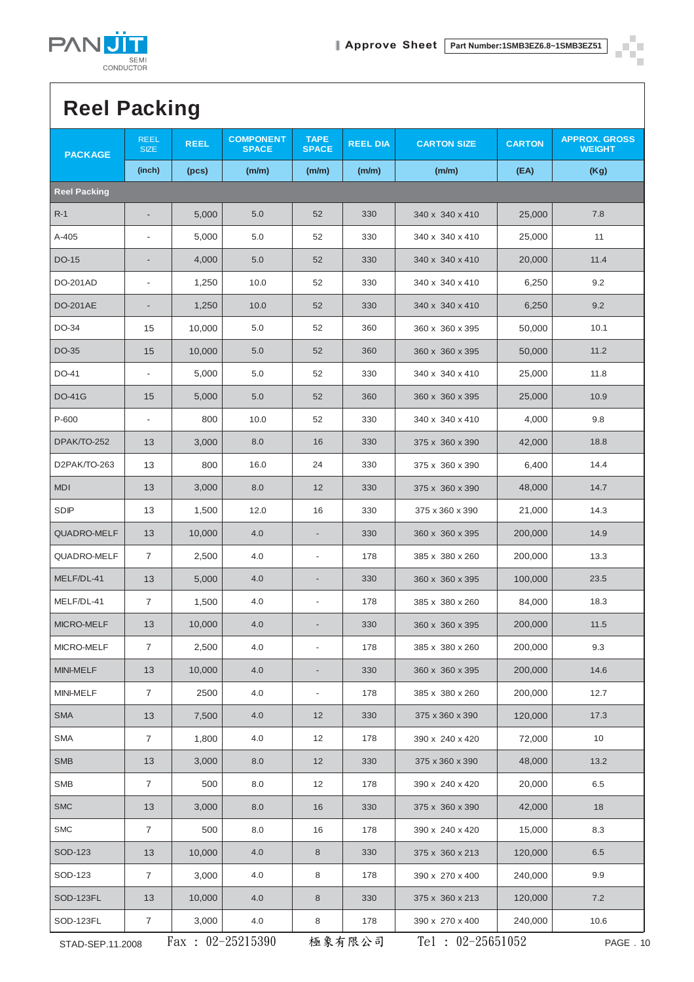

# **Reel Packing**

| <b>PACKAGE</b>      | <b>REEL</b><br><b>SIZE</b> | <b>REEL</b> | <b>COMPONENT</b><br><b>SPACE</b> | <b>TAPE</b><br><b>SPACE</b>  | <b>REEL DIA</b> | <b>CARTON SIZE</b>  | <b>CARTON</b> | <b>APPROX. GROSS</b><br><b>WEIGHT</b> |
|---------------------|----------------------------|-------------|----------------------------------|------------------------------|-----------------|---------------------|---------------|---------------------------------------|
|                     | (inch)                     | (pcs)       | (m/m)                            | (m/m)                        | (m/m)           | (m/m)               | (EA)          | (Kg)                                  |
| <b>Reel Packing</b> |                            |             |                                  |                              |                 |                     |               |                                       |
| $R-1$               |                            | 5,000       | 5.0                              | 52                           | 330             | 340 x 340 x 410     | 25,000        | 7.8                                   |
| A-405               | $\overline{\phantom{a}}$   | 5,000       | 5.0                              | 52                           | 330             | 340 x 340 x 410     | 25,000        | 11                                    |
| DO-15               |                            | 4,000       | 5.0                              | 52                           | 330             | 340 x 340 x 410     | 20,000        | 11.4                                  |
| DO-201AD            | $\overline{\phantom{a}}$   | 1,250       | 10.0                             | 52                           | 330             | 340 x 340 x 410     | 6,250         | 9.2                                   |
| <b>DO-201AE</b>     | $\overline{\phantom{a}}$   | 1,250       | 10.0                             | 52                           | 330             | 340 x 340 x 410     | 6,250         | 9.2                                   |
| DO-34               | 15                         | 10,000      | 5.0                              | 52                           | 360             | 360 x 360 x 395     | 50,000        | 10.1                                  |
| DO-35               | 15                         | 10,000      | 5.0                              | 52                           | 360             | 360 x 360 x 395     | 50,000        | 11.2                                  |
| DO-41               | $\overline{\phantom{a}}$   | 5,000       | 5.0                              | 52                           | 330             | 340 x 340 x 410     | 25,000        | 11.8                                  |
| <b>DO-41G</b>       | 15                         | 5,000       | 5.0                              | 52                           | 360             | 360 x 360 x 395     | 25,000        | 10.9                                  |
| P-600               | $\overline{\phantom{a}}$   | 800         | 10.0                             | 52                           | 330             | 340 x 340 x 410     | 4,000         | 9.8                                   |
| DPAK/TO-252         | 13                         | 3,000       | 8.0                              | 16                           | 330             | 375 x 360 x 390     | 42,000        | 18.8                                  |
| D2PAK/TO-263        | 13                         | 800         | 16.0                             | 24                           | 330             | 375 x 360 x 390     | 6,400         | 14.4                                  |
| <b>MDI</b>          | 13                         | 3,000       | 8.0                              | 12                           | 330             | 375 x 360 x 390     | 48,000        | 14.7                                  |
| <b>SDIP</b>         | 13                         | 1,500       | 12.0                             | 16                           | 330             | 375 x 360 x 390     | 21,000        | 14.3                                  |
| <b>QUADRO-MELF</b>  | 13                         | 10,000      | 4.0                              | $\overline{\phantom{a}}$     | 330             | 360 x 360 x 395     | 200,000       | 14.9                                  |
| QUADRO-MELF         | $\overline{7}$             | 2,500       | 4.0                              | $\overline{\phantom{a}}$     | 178             | 385 x 380 x 260     | 200,000       | 13.3                                  |
| MELF/DL-41          | 13                         | 5,000       | 4.0                              | $\overline{\phantom{a}}$     | 330             | 360 x 360 x 395     | 100,000       | 23.5                                  |
| MELF/DL-41          | $\overline{7}$             | 1,500       | 4.0                              | $\overline{\phantom{a}}$     | 178             | 385 x 380 x 260     | 84,000        | 18.3                                  |
| MICRO-MELF          | 13                         | 10,000      | 4.0                              | $\overline{\phantom{a}}$     | 330             | 360 x 360 x 395     | 200,000       | 11.5                                  |
| MICRO-MELF          | 7                          | 2,500       | 4.0                              |                              | 178             | 385 x 380 x 260     | 200,000       | 9.3                                   |
| MINI-MELF           | 13                         | 10,000      | 4.0                              | $\qquad \qquad \blacksquare$ | 330             | 360 x 360 x 395     | 200,000       | 14.6                                  |
| MINI-MELF           | $\overline{7}$             | 2500        | 4.0                              | $\overline{\phantom{a}}$     | 178             | 385 x 380 x 260     | 200,000       | 12.7                                  |
| <b>SMA</b>          | 13                         | 7,500       | 4.0                              | 12                           | 330             | 375 x 360 x 390     | 120,000       | 17.3                                  |
| <b>SMA</b>          | $\overline{7}$             | 1,800       | 4.0                              | 12                           | 178             | 390 x 240 x 420     | 72,000        | 10                                    |
| <b>SMB</b>          | 13                         | 3,000       | 8.0                              | 12                           | 330             | 375 x 360 x 390     | 48,000        | 13.2                                  |
| SMB                 | $\overline{7}$             | 500         | 8.0                              | 12                           | 178             | 390 x 240 x 420     | 20,000        | 6.5                                   |
| SMC                 | 13                         | 3,000       | 8.0                              | 16                           | 330             | 375 x 360 x 390     | 42,000        | 18                                    |
| <b>SMC</b>          | $\overline{7}$             | 500         | 8.0                              | 16                           | 178             | 390 x 240 x 420     | 15,000        | 8.3                                   |
| SOD-123             | 13                         | 10,000      | 4.0                              | $\bf 8$                      | 330             | 375 x 360 x 213     | 120,000       | 6.5                                   |
| SOD-123             | $\overline{7}$             | 3,000       | 4.0                              | 8                            | 178             | 390 x 270 x 400     | 240,000       | 9.9                                   |
| SOD-123FL           | 13                         | 10,000      | 4.0                              | $\,8\,$                      | 330             | 375 x 360 x 213     | 120,000       | 7.2                                   |
| SOD-123FL           | $\overline{7}$             | 3,000       | 4.0                              | 8                            | 178             | 390 x 270 x 400     | 240,000       | 10.6                                  |
| STAD-SEP.11.2008    |                            |             | Fax: $02-25215390$               |                              | 極象有限公司          | Tel : $02-25651052$ |               | PAGE . 10                             |

O г Ť.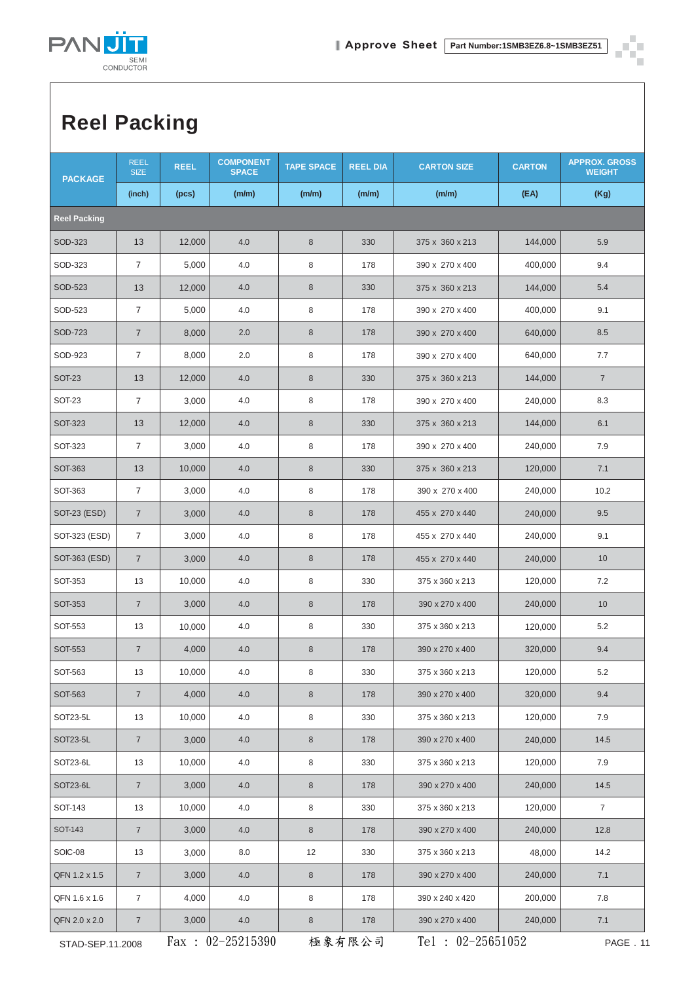

П п n.

Ť.

# **Reel Packing**

| <b>PACKAGE</b>      | <b>REEL</b><br><b>SIZE</b> | <b>REEL</b> | <b>COMPONENT</b><br><b>SPACE</b> | <b>TAPE SPACE</b> | <b>REEL DIA</b> | <b>CARTON SIZE</b> | <b>CARTON</b>       | <b>APPROX. GROSS</b><br><b>WEIGHT</b> |
|---------------------|----------------------------|-------------|----------------------------------|-------------------|-----------------|--------------------|---------------------|---------------------------------------|
|                     | (inch)                     | (pcs)       | (m/m)                            | (m/m)             | (m/m)           | (m/m)              | (EA)                | (Kg)                                  |
| <b>Reel Packing</b> |                            |             |                                  |                   |                 |                    |                     |                                       |
| SOD-323             | 13                         | 12,000      | 4.0                              | $\,8\,$           | 330             | 375 x 360 x 213    | 144,000             | 5.9                                   |
| SOD-323             | $\overline{7}$             | 5,000       | 4.0                              | $\,8\,$           | 178             | 390 x 270 x 400    | 400,000             | 9.4                                   |
| SOD-523             | 13                         | 12,000      | 4.0                              | $\boldsymbol{8}$  | 330             | 375 x 360 x 213    | 144,000             | 5.4                                   |
| SOD-523             | $\overline{7}$             | 5,000       | 4.0                              | 8                 | 178             | 390 x 270 x 400    | 400,000             | 9.1                                   |
| SOD-723             | $\overline{7}$             | 8,000       | 2.0                              | $\,8\,$           | 178             | 390 x 270 x 400    | 640,000             | 8.5                                   |
| SOD-923             | $\overline{7}$             | 8,000       | 2.0                              | $\,8\,$           | 178             | 390 x 270 x 400    | 640,000             | 7.7                                   |
| <b>SOT-23</b>       | 13                         | 12,000      | 4.0                              | $\,8\,$           | 330             | 375 x 360 x 213    | 144,000             | $\overline{7}$                        |
| <b>SOT-23</b>       | $\overline{7}$             | 3,000       | 4.0                              | 8                 | 178             | 390 x 270 x 400    | 240,000             | 8.3                                   |
| <b>SOT-323</b>      | 13                         | 12,000      | 4.0                              | $\,8\,$           | 330             | 375 x 360 x 213    | 144,000             | 6.1                                   |
| SOT-323             | $\overline{7}$             | 3,000       | 4.0                              | 8                 | 178             | 390 x 270 x 400    | 240,000             | 7.9                                   |
| SOT-363             | 13                         | 10,000      | 4.0                              | 8                 | 330             | 375 x 360 x 213    | 120,000             | 7.1                                   |
| SOT-363             | $\overline{7}$             | 3,000       | 4.0                              | 8                 | 178             | 390 x 270 x 400    | 240,000             | 10.2                                  |
| <b>SOT-23 (ESD)</b> | $\overline{7}$             | 3,000       | 4.0                              | $\,8\,$           | 178             | 455 x 270 x 440    | 240,000             | 9.5                                   |
| SOT-323 (ESD)       | $\overline{7}$             | 3,000       | 4.0                              | 8                 | 178             | 455 x 270 x 440    | 240,000             | 9.1                                   |
| SOT-363 (ESD)       | $\overline{7}$             | 3,000       | 4.0                              | $\,8\,$           | 178             | 455 x 270 x 440    | 240,000             | 10                                    |
| SOT-353             | 13                         | 10,000      | 4.0                              | $\,8\,$           | 330             | 375 x 360 x 213    | 120,000             | 7.2                                   |
| <b>SOT-353</b>      | $\overline{7}$             | 3,000       | 4.0                              | 8                 | 178             | 390 x 270 x 400    | 240,000             | 10                                    |
| SOT-553             | 13                         | 10,000      | 4.0                              | 8                 | 330             | 375 x 360 x 213    | 120,000             | 5.2                                   |
| SOT-553             | $\overline{7}$             | 4,000       | 4.0                              | $\,8\,$           | 178             | 390 x 270 x 400    | 320,000             | 9.4                                   |
| SOT-563             | 13                         | 10,000      | 4.0                              | 8                 | 330             | 375 x 360 x 213    | 120,000             | $5.2\,$                               |
| SOT-563             | $7\overline{ }$            | 4,000       | 4.0                              | $\,8\,$           | 178             | 390 x 270 x 400    | 320,000             | 9.4                                   |
| SOT23-5L            | 13                         | 10,000      | 4.0                              | 8                 | 330             | 375 x 360 x 213    | 120,000             | 7.9                                   |
| SOT23-5L            | $\overline{7}$             | 3,000       | 4.0                              | $\,8\,$           | 178             | 390 x 270 x 400    | 240,000             | 14.5                                  |
| SOT23-6L            | 13                         | 10,000      | 4.0                              | $\,8\,$           | 330             | 375 x 360 x 213    | 120,000             | 7.9                                   |
| SOT23-6L            | $\overline{7}$             | 3,000       | 4.0                              | $\,8\,$           | 178             | 390 x 270 x 400    | 240,000             | 14.5                                  |
| SOT-143             | 13                         | 10,000      | 4.0                              | 8                 | 330             | 375 x 360 x 213    | 120,000             | $\overline{7}$                        |
| SOT-143             | $\overline{7}$             | 3,000       | 4.0                              | 8                 | 178             | 390 x 270 x 400    | 240,000             | 12.8                                  |
| SOIC-08             | 13                         | 3,000       | 8.0                              | 12                | 330             | 375 x 360 x 213    | 48,000              | 14.2                                  |
| QFN 1.2 x 1.5       | $\overline{7}$             | 3,000       | 4.0                              | $\,8\,$           | 178             | 390 x 270 x 400    | 240,000             | 7.1                                   |
| QFN 1.6 x 1.6       | $\overline{7}$             | 4,000       | 4.0                              | 8                 | 178             | 390 x 240 x 420    | 200,000             | 7.8                                   |
| QFN 2.0 x 2.0       | $\overline{7}$             | 3,000       | 4.0                              | $\,8\,$           | 178             | 390 x 270 x 400    | 240,000             | 7.1                                   |
| STAD-SEP.11.2008    |                            |             | Fax: $02-25215390$               |                   | 極象有限公司          |                    | Tel : $02-25651052$ |                                       |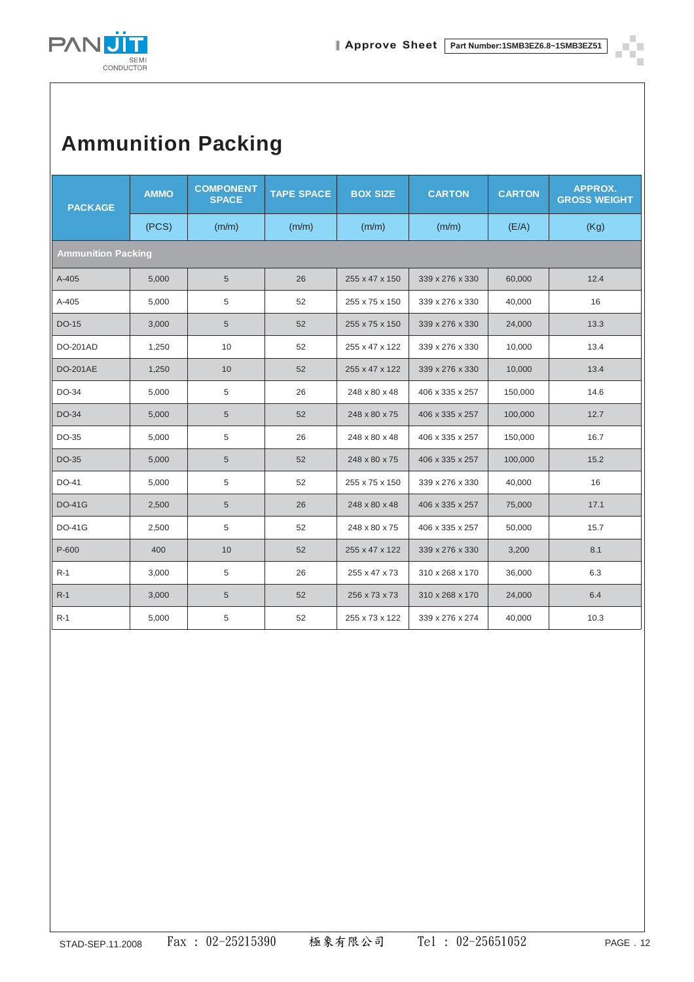

# **Ammunition Packing**

| <b>PACKAGE</b>            | <b>AMMO</b> | <b>COMPONENT</b><br><b>SPACE</b> | <b>TAPE SPACE</b> | <b>BOX SIZE</b> | <b>CARTON</b>   | <b>CARTON</b> | APPROX.<br><b>GROSS WEIGHT</b> |
|---------------------------|-------------|----------------------------------|-------------------|-----------------|-----------------|---------------|--------------------------------|
|                           | (PCS)       | (m/m)                            | (m/m)             | (m/m)           | (m/m)           | (E/A)         | (Kg)                           |
| <b>Ammunition Packing</b> |             |                                  |                   |                 |                 |               |                                |
| $A-405$                   | 5,000       | 5                                | 26                | 255 x 47 x 150  | 339 x 276 x 330 | 60,000        | 12.4                           |
| A-405                     | 5,000       | 5                                | 52                | 255 x 75 x 150  | 339 x 276 x 330 | 40,000        | 16                             |
| DO-15                     | 3,000       | 5                                | 52                | 255 x 75 x 150  | 339 x 276 x 330 | 24,000        | 13.3                           |
| <b>DO-201AD</b>           | 1,250       | 10                               | 52                | 255 x 47 x 122  | 339 x 276 x 330 | 10,000        | 13.4                           |
| DO-201AE                  | 1,250       | 10                               | 52                | 255 x 47 x 122  | 339 x 276 x 330 | 10,000        | 13.4                           |
| DO-34                     | 5,000       | 5                                | 26                | 248 x 80 x 48   | 406 x 335 x 257 | 150,000       | 14.6                           |
| DO-34                     | 5,000       | 5                                | 52                | 248 x 80 x 75   | 406 x 335 x 257 | 100,000       | 12.7                           |
| DO-35                     | 5,000       | 5                                | 26                | 248 x 80 x 48   | 406 x 335 x 257 | 150,000       | 16.7                           |
| DO-35                     | 5,000       | 5                                | 52                | 248 x 80 x 75   | 406 x 335 x 257 | 100,000       | 15.2                           |
| DO-41                     | 5,000       | 5                                | 52                | 255 x 75 x 150  | 339 x 276 x 330 | 40,000        | 16                             |
| <b>DO-41G</b>             | 2,500       | 5                                | 26                | 248 x 80 x 48   | 406 x 335 x 257 | 75,000        | 17.1                           |
| <b>DO-41G</b>             | 2,500       | 5                                | 52                | 248 x 80 x 75   | 406 x 335 x 257 | 50,000        | 15.7                           |
| P-600                     | 400         | 10                               | 52                | 255 x 47 x 122  | 339 x 276 x 330 | 3,200         | 8.1                            |
| $R-1$                     | 3,000       | 5                                | 26                | 255 x 47 x 73   | 310 x 268 x 170 | 36,000        | 6.3                            |
| $R-1$                     | 3,000       | 5                                | 52                | 256 x 73 x 73   | 310 x 268 x 170 | 24,000        | 6.4                            |
| $R-1$                     | 5,000       | 5                                | 52                | 255 x 73 x 122  | 339 x 276 x 274 | 40,000        | 10.3                           |

٠ П ÷